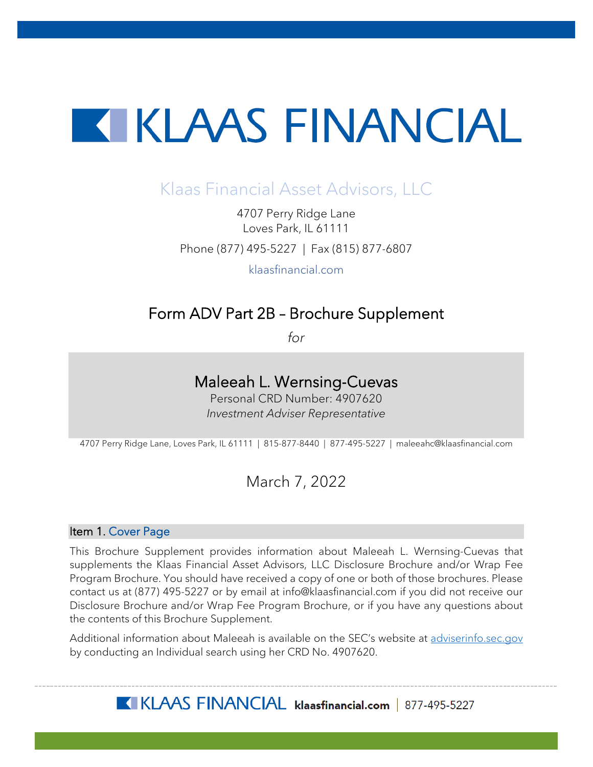# **TERESAL ENTRANCIAL**

## Klaas Financial Asset Advisors, LLC

4707 Perry Ridge Lane Loves Park, IL 61111 Phone (877) 495-5227 | Fax (815) 877-6807

klaasfinancial.com

## Form ADV Part 2B – Brochure Supplement

*for*

## Maleeah L. Wernsing-Cuevas

Personal CRD Number: 4907620 *Investment Adviser Representative*

4707 Perry Ridge Lane, Loves Park, IL 61111 | 815-877-8440 | 877-495-5227 | maleeahc@klaasfinancial.com

### March 7, 2022

#### Item 1. Cover Page

This Brochure Supplement provides information about Maleeah L. Wernsing-Cuevas that supplements the Klaas Financial Asset Advisors, LLC Disclosure Brochure and/or Wrap Fee Program Brochure. You should have received a copy of one or both of those brochures. Please contact us at (877) 495-5227 or by email at info@klaasfinancial.com if you did not receive our Disclosure Brochure and/or Wrap Fee Program Brochure, or if you have any questions about the contents of this Brochure Supplement.

Additional information about Maleeah is available on the SEC's website at [adviserinfo.sec.gov](https://adviserinfo.sec.gov/) by conducting an Individual search using her CRD No. 4907620.

KLAAS FINANCIAL klaasfinancial.com | 877-495-5227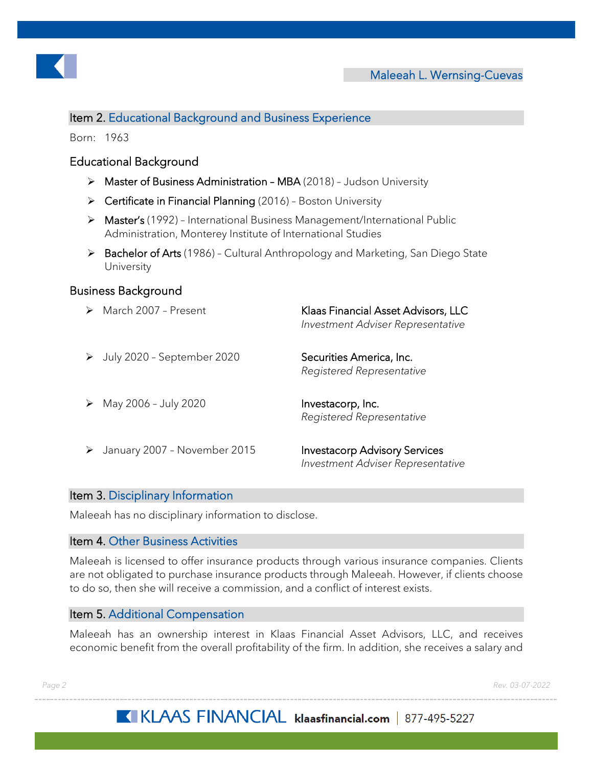

#### Item 2. Educational Background and Business Experience

Born: 1963

#### Educational Background

- ▶ Master of Business Administration MBA (2018) Judson University
- $\triangleright$  Certificate in Financial Planning (2016) Boston University
- ▶ Master's (1992) International Business Management/International Public Administration, Monterey Institute of International Studies
- ▶ Bachelor of Arts (1986) Cultural Anthropology and Marketing, San Diego State University

#### Business Background

| March 2007 - Present         | Klaas Financial Asset Advisors, LLC<br>Investment Adviser Representative  |
|------------------------------|---------------------------------------------------------------------------|
| July 2020 - September 2020   | Securities America, Inc.<br>Registered Representative                     |
| May 2006 - July 2020         | Investacorp, Inc.<br>Registered Representative                            |
| January 2007 - November 2015 | <b>Investacorp Advisory Services</b><br>Investment Adviser Representative |

#### Item 3. Disciplinary Information

Maleeah has no disciplinary information to disclose.

#### Item 4. Other Business Activities

Maleeah is licensed to offer insurance products through various insurance companies. Clients are not obligated to purchase insurance products through Maleeah. However, if clients choose to do so, then she will receive a commission, and a conflict of interest exists.

#### Item 5. Additional Compensation

Maleeah has an ownership interest in Klaas Financial Asset Advisors, LLC, and receives economic benefit from the overall profitability of the firm. In addition, she receives a salary and